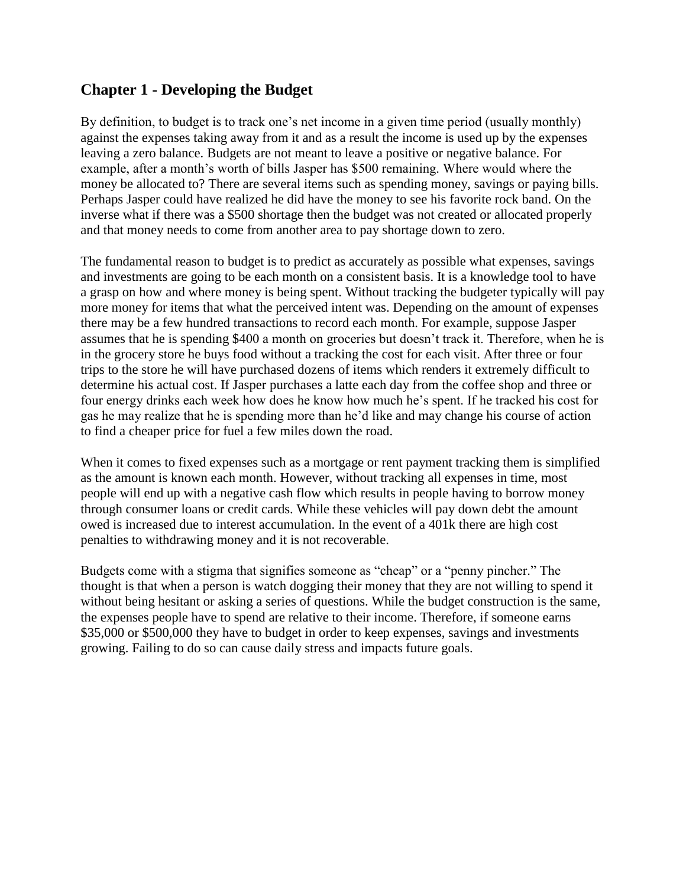# **Chapter 1 - Developing the Budget**

By definition, to budget is to track one's net income in a given time period (usually monthly) against the expenses taking away from it and as a result the income is used up by the expenses leaving a zero balance. Budgets are not meant to leave a positive or negative balance. For example, after a month's worth of bills Jasper has \$500 remaining. Where would where the money be allocated to? There are several items such as spending money, savings or paying bills. Perhaps Jasper could have realized he did have the money to see his favorite rock band. On the inverse what if there was a \$500 shortage then the budget was not created or allocated properly and that money needs to come from another area to pay shortage down to zero.

The fundamental reason to budget is to predict as accurately as possible what expenses, savings and investments are going to be each month on a consistent basis. It is a knowledge tool to have a grasp on how and where money is being spent. Without tracking the budgeter typically will pay more money for items that what the perceived intent was. Depending on the amount of expenses there may be a few hundred transactions to record each month. For example, suppose Jasper assumes that he is spending \$400 a month on groceries but doesn't track it. Therefore, when he is in the grocery store he buys food without a tracking the cost for each visit. After three or four trips to the store he will have purchased dozens of items which renders it extremely difficult to determine his actual cost. If Jasper purchases a latte each day from the coffee shop and three or four energy drinks each week how does he know how much he's spent. If he tracked his cost for gas he may realize that he is spending more than he'd like and may change his course of action to find a cheaper price for fuel a few miles down the road.

When it comes to fixed expenses such as a mortgage or rent payment tracking them is simplified as the amount is known each month. However, without tracking all expenses in time, most people will end up with a negative cash flow which results in people having to borrow money through consumer loans or credit cards. While these vehicles will pay down debt the amount owed is increased due to interest accumulation. In the event of a 401k there are high cost penalties to withdrawing money and it is not recoverable.

Budgets come with a stigma that signifies someone as "cheap" or a "penny pincher." The thought is that when a person is watch dogging their money that they are not willing to spend it without being hesitant or asking a series of questions. While the budget construction is the same, the expenses people have to spend are relative to their income. Therefore, if someone earns \$35,000 or \$500,000 they have to budget in order to keep expenses, savings and investments growing. Failing to do so can cause daily stress and impacts future goals.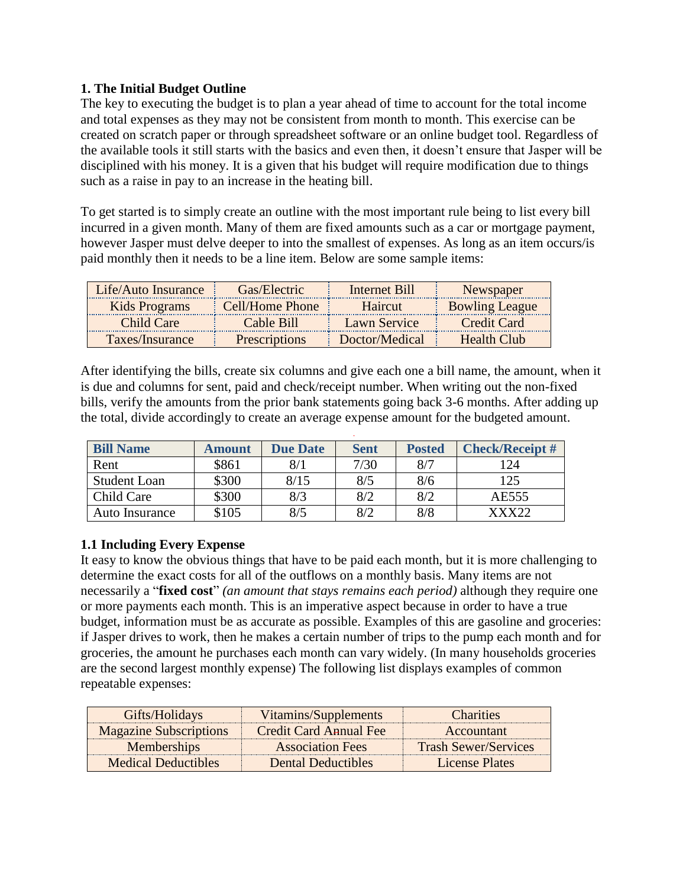## **1. The Initial Budget Outline**

The key to executing the budget is to plan a year ahead of time to account for the total income and total expenses as they may not be consistent from month to month. This exercise can be created on scratch paper or through spreadsheet software or an online budget tool. Regardless of the available tools it still starts with the basics and even then, it doesn't ensure that Jasper will be disciplined with his money. It is a given that his budget will require modification due to things such as a raise in pay to an increase in the heating bill.

To get started is to simply create an outline with the most important rule being to list every bill incurred in a given month. Many of them are fixed amounts such as a car or mortgage payment, however Jasper must delve deeper to into the smallest of expenses. As long as an item occurs/is paid monthly then it needs to be a line item. Below are some sample items:

| Life/Auto Insurance | Gas/Electric         | Internet Bill       | Newspaper             |
|---------------------|----------------------|---------------------|-----------------------|
| Kids Programs       | Cell/Home Phone      | Haircut             | <b>Bowling League</b> |
| Child Care          | Cable Bill           | <b>Lawn Service</b> | Credit Card           |
| Taxes/Insurance     | <b>Prescriptions</b> | Doctor/Medical      | Health Club           |

After identifying the bills, create six columns and give each one a bill name, the amount, when it is due and columns for sent, paid and check/receipt number. When writing out the non-fixed bills, verify the amounts from the prior bank statements going back 3-6 months. After adding up the total, divide accordingly to create an average expense amount for the budgeted amount.

| <b>Bill Name</b>    | Amount | <b>Due Date</b> | <b>Sent</b> | <b>Posted</b> | <b>Check/Receipt#</b> |
|---------------------|--------|-----------------|-------------|---------------|-----------------------|
| Rent                | \$861  | 8/1             | 7/30        | 8/7           | 124                   |
| <b>Student Loan</b> | \$300  | 8/15            | 8/5         | 8/6           | 125                   |
| Child Care          | \$300  | 8/3             | 8/2         | 8/2           | AE555                 |
| Auto Insurance      | \$105  | 8/5             | 8/2         | 8/8           | xxx??                 |

# **1.1 Including Every Expense**

It easy to know the obvious things that have to be paid each month, but it is more challenging to determine the exact costs for all of the outflows on a monthly basis. Many items are not necessarily a "**fixed cost**" *(an amount that stays remains each period)* although they require one or more payments each month. This is an imperative aspect because in order to have a true budget, information must be as accurate as possible. Examples of this are gasoline and groceries: if Jasper drives to work, then he makes a certain number of trips to the pump each month and for groceries, the amount he purchases each month can vary widely. (In many households groceries are the second largest monthly expense) The following list displays examples of common repeatable expenses:

| Gifts/Holidays                | Vitamins/Supplements      | <b>Charities</b>            |
|-------------------------------|---------------------------|-----------------------------|
| <b>Magazine Subscriptions</b> | Credit Card Annual Fee    | Accountant                  |
| <b>Memberships</b>            | <b>Association Fees</b>   | <b>Trash Sewer/Services</b> |
| <b>Medical Deductibles</b>    | <b>Dental Deductibles</b> | License Plates              |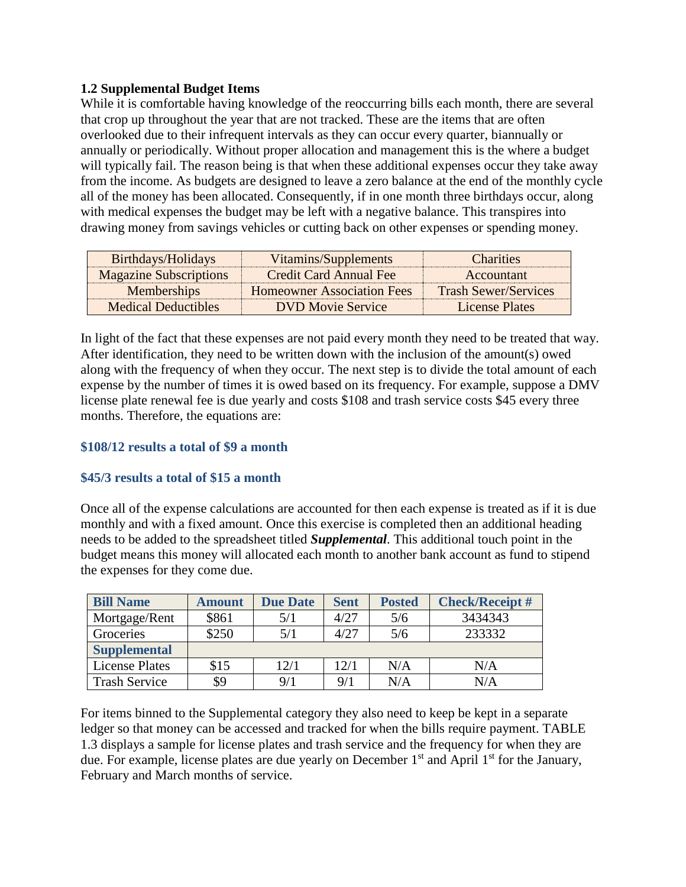### **1.2 Supplemental Budget Items**

While it is comfortable having knowledge of the reoccurring bills each month, there are several that crop up throughout the year that are not tracked. These are the items that are often overlooked due to their infrequent intervals as they can occur every quarter, biannually or annually or periodically. Without proper allocation and management this is the where a budget will typically fail. The reason being is that when these additional expenses occur they take away from the income. As budgets are designed to leave a zero balance at the end of the monthly cycle all of the money has been allocated. Consequently, if in one month three birthdays occur, along with medical expenses the budget may be left with a negative balance. This transpires into drawing money from savings vehicles or cutting back on other expenses or spending money.

| Birthdays/Holidays            | Vitamins/Supplements              | <b>Charities</b>            |
|-------------------------------|-----------------------------------|-----------------------------|
| <b>Magazine Subscriptions</b> | <b>Credit Card Annual Fee</b>     | Accountant                  |
| <b>Memberships</b>            | <b>Homeowner Association Fees</b> | <b>Trash Sewer/Services</b> |
| <b>Medical Deductibles</b>    | <b>DVD</b> Movie Service          | License Plates              |

In light of the fact that these expenses are not paid every month they need to be treated that way. After identification, they need to be written down with the inclusion of the amount(s) owed along with the frequency of when they occur. The next step is to divide the total amount of each expense by the number of times it is owed based on its frequency. For example, suppose a DMV license plate renewal fee is due yearly and costs \$108 and trash service costs \$45 every three months. Therefore, the equations are:

### **\$108/12 results a total of \$9 a month**

#### **\$45/3 results a total of \$15 a month**

Once all of the expense calculations are accounted for then each expense is treated as if it is due monthly and with a fixed amount. Once this exercise is completed then an additional heading needs to be added to the spreadsheet titled *Supplemental*. This additional touch point in the budget means this money will allocated each month to another bank account as fund to stipend the expenses for they come due.

| <b>Bill Name</b>      | <b>Amount</b> | <b>Due Date</b> | <b>Sent</b> | <b>Posted</b> | <b>Check/Receipt#</b> |
|-----------------------|---------------|-----------------|-------------|---------------|-----------------------|
| Mortgage/Rent         | \$861         | 5/1             | 4/27        | 5/6           | 3434343               |
| Groceries             | \$250         | 5/1             | 4/27        | 5/6           | 233332                |
| <b>Supplemental</b>   |               |                 |             |               |                       |
| <b>License Plates</b> | \$15          | 12/1            | 12/1        | N/A           | N/A                   |
| <b>Trash Service</b>  | \$9           | 9/1             | 9/1         | N/A           | N/A                   |

For items binned to the Supplemental category they also need to keep be kept in a separate ledger so that money can be accessed and tracked for when the bills require payment. TABLE 1.3 displays a sample for license plates and trash service and the frequency for when they are due. For example, license plates are due yearly on December  $1<sup>st</sup>$  and April  $1<sup>st</sup>$  for the January, February and March months of service.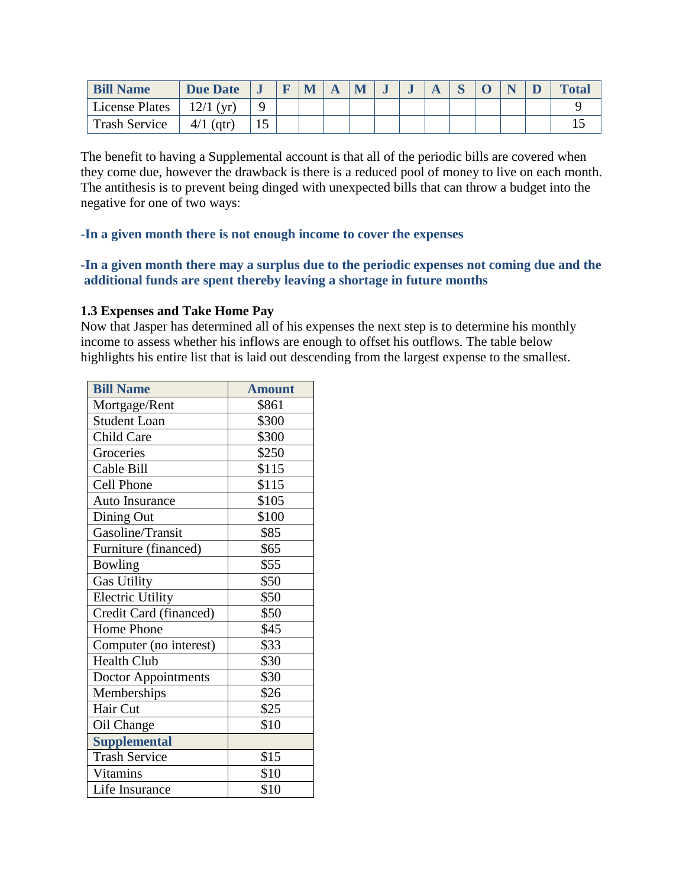| <b>Bill Name</b>     | <b>Due Date</b> |  | IVI |  |  |  |  | <b>Total</b> |
|----------------------|-----------------|--|-----|--|--|--|--|--------------|
| License Plates       | $12/1$ (yr)     |  |     |  |  |  |  |              |
| <b>Trash Service</b> | $4/1$ (qtr)     |  |     |  |  |  |  |              |

The benefit to having a Supplemental account is that all of the periodic bills are covered when they come due, however the drawback is there is a reduced pool of money to live on each month. The antithesis is to prevent being dinged with unexpected bills that can throw a budget into the negative for one of two ways:

#### **-In a given month there is not enough income to cover the expenses**

### **-In a given month there may a surplus due to the periodic expenses not coming due and the additional funds are spent thereby leaving a shortage in future months**

#### **1.3 Expenses and Take Home Pay**

Now that Jasper has determined all of his expenses the next step is to determine his monthly income to assess whether his inflows are enough to offset his outflows. The table below highlights his entire list that is laid out descending from the largest expense to the smallest.

| <b>Bill Name</b>       | <b>Amount</b> |
|------------------------|---------------|
| Mortgage/Rent          | \$861         |
| <b>Student Loan</b>    | \$300         |
| Child Care             | \$300         |
| Groceries              | \$250         |
| Cable Bill             | \$115         |
| Cell Phone             | \$115         |
| Auto Insurance         | \$105         |
| Dining Out             | \$100         |
| Gasoline/Transit       | \$85          |
| Furniture (financed)   | \$65          |
| Bowling                | \$55          |
| <b>Gas Utility</b>     | \$50          |
| Electric Utility       | \$50          |
| Credit Card (financed) | \$50          |
| Home Phone             | \$45          |
| Computer (no interest) | \$33          |
| <b>Health Club</b>     | \$30          |
| Doctor Appointments    | \$30          |
| Memberships            | \$26          |
| Hair Cut               | \$25          |
| Oil Change             | \$10          |
| <b>Supplemental</b>    |               |
| <b>Trash Service</b>   | \$15          |
| <b>Vitamins</b>        | \$10          |
| Life Insurance         | \$10          |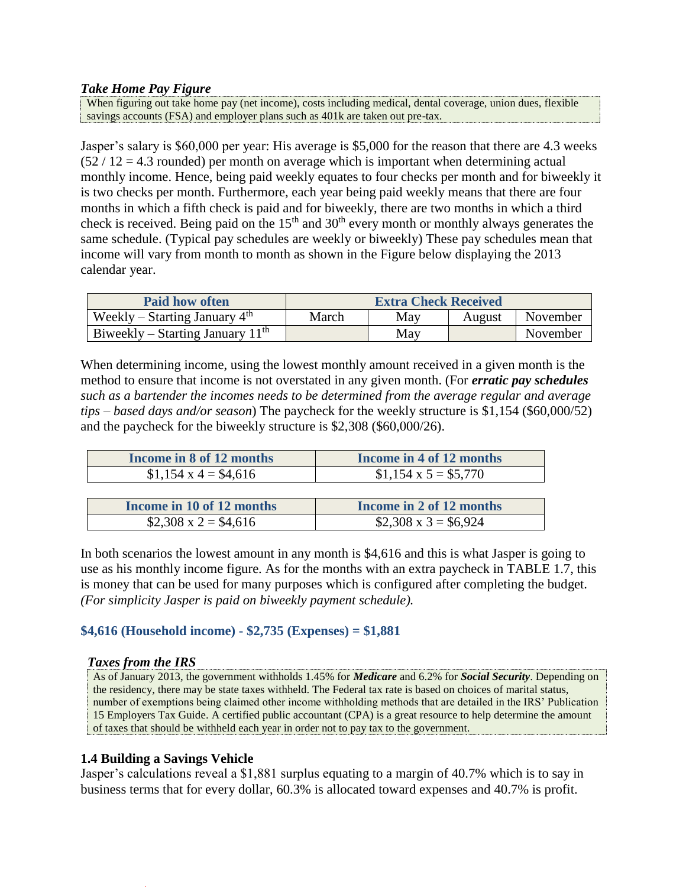#### *Take Home Pay Figure*

When figuring out take home pay (net income), costs including medical, dental coverage, union dues, flexible savings accounts (FSA) and employer plans such as 401k are taken out pre-tax.

Jasper's salary is \$60,000 per year: His average is \$5,000 for the reason that there are 4.3 weeks  $(52 / 12 = 4.3$  rounded) per month on average which is important when determining actual monthly income. Hence, being paid weekly equates to four checks per month and for biweekly it is two checks per month. Furthermore, each year being paid weekly means that there are four months in which a fifth check is paid and for biweekly, there are two months in which a third check is received. Being paid on the 15<sup>th</sup> and 30<sup>th</sup> every month or monthly always generates the same schedule. (Typical pay schedules are weekly or biweekly) These pay schedules mean that income will vary from month to month as shown in the Figure below displaying the 2013 calendar year.

| <b>Paid how often</b>              | <b>Extra Check Received</b> |     |        |          |  |  |
|------------------------------------|-----------------------------|-----|--------|----------|--|--|
| Weekly – Starting January $4th$    | March                       | May | August | November |  |  |
| Biweekly – Starting January $11th$ |                             | May |        | November |  |  |

When determining income, using the lowest monthly amount received in a given month is the method to ensure that income is not overstated in any given month. (For *erratic pay schedules such as a bartender the incomes needs to be determined from the average regular and average tips – based days and/or season*) The paycheck for the weekly structure is \$1,154 (\$60,000/52) and the paycheck for the biweekly structure is \$2,308 (\$60,000/26).

| Income in 8 of 12 months       | Income in 4 of 12 months   |
|--------------------------------|----------------------------|
| $$1,154 \text{ x } 4 = $4,616$ | $$1,154 \times 5 = $5,770$ |

| Income in 10 of 12 months | Income in 2 of 12 months   |
|---------------------------|----------------------------|
| \$2,308 x 2 = \$4,616     | $$2,308 \times 3 = $6,924$ |

In both scenarios the lowest amount in any month is \$4,616 and this is what Jasper is going to use as his monthly income figure. As for the months with an extra paycheck in TABLE 1.7, this is money that can be used for many purposes which is configured after completing the budget. *(For simplicity Jasper is paid on biweekly payment schedule).*

### **\$4,616 (Household income) - \$2,735 (Expenses) = \$1,881**

#### *Taxes from the IRS*

As of January 2013, the government withholds 1.45% for *Medicare* and 6.2% for *Social Security*. Depending on the residency, there may be state taxes withheld. The Federal tax rate is based on choices of marital status, number of exemptions being claimed other income withholding methods that are detailed in the IRS' Publication 15 Employers Tax Guide. A certified public accountant (CPA) is a great resource to help determine the amount of taxes that should be withheld each year in order not to pay tax to the government.

#### **1.4 Building a Savings Vehicle**

Jasper's calculations reveal a \$1,881 surplus equating to a margin of 40.7% which is to say in business terms that for every dollar, 60.3% is allocated toward expenses and 40.7% is profit.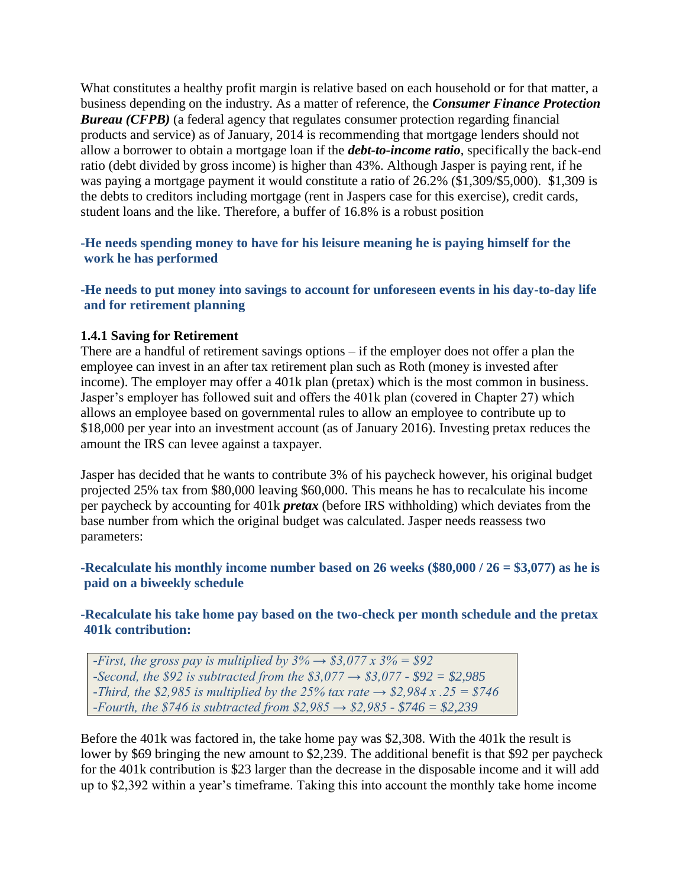What constitutes a healthy profit margin is relative based on each household or for that matter, a business depending on the industry. As a matter of reference, the *Consumer Finance Protection*  **Bureau (CFPB)** (a federal agency that regulates consumer protection regarding financial products and service) as of January, 2014 is recommending that mortgage lenders should not allow a borrower to obtain a mortgage loan if the *debt-to-income ratio*, specifically the back-end ratio (debt divided by gross income) is higher than 43%. Although Jasper is paying rent, if he was paying a mortgage payment it would constitute a ratio of 26.2% (\$1,309/\$5,000). \$1,309 is the debts to creditors including mortgage (rent in Jaspers case for this exercise), credit cards, student loans and the like. Therefore, a buffer of 16.8% is a robust position

#### **-He needs spending money to have for his leisure meaning he is paying himself for the work he has performed**

**-He needs to put money into savings to account for unforeseen events in his day-to-day life and for retirement planning**

#### **1.4.1 Saving for Retirement**

There are a handful of retirement savings options – if the employer does not offer a plan the employee can invest in an after tax retirement plan such as Roth (money is invested after income). The employer may offer a 401k plan (pretax) which is the most common in business. Jasper's employer has followed suit and offers the 401k plan (covered in Chapter 27) which allows an employee based on governmental rules to allow an employee to contribute up to \$18,000 per year into an investment account (as of January 2016). Investing pretax reduces the amount the IRS can levee against a taxpayer.

Jasper has decided that he wants to contribute 3% of his paycheck however, his original budget projected 25% tax from \$80,000 leaving \$60,000. This means he has to recalculate his income per paycheck by accounting for 401k *pretax* (before IRS withholding) which deviates from the base number from which the original budget was calculated. Jasper needs reassess two parameters:

**-Recalculate his monthly income number based on 26 weeks (\$80,000 / 26 = \$3,077) as he is paid on a biweekly schedule**

### **-Recalculate his take home pay based on the two-check per month schedule and the pretax 401k contribution:**

*-First, the gross pay is multiplied by*  $3\% \rightarrow $3,077 \times 3\% = $92$ *-Second, the \$92 is subtracted from the \$3,077 → \$3,077 - \$92 = \$2,985 -Third, the \$2,985 is multiplied by the 25% tax rate → \$2,984 x .25 = \$746 -Fourth, the \$746 is subtracted from \$2,985 → \$2,985 - \$746 = \$2,239*

Before the 401k was factored in, the take home pay was \$2,308. With the 401k the result is lower by \$69 bringing the new amount to \$2,239. The additional benefit is that \$92 per paycheck for the 401k contribution is \$23 larger than the decrease in the disposable income and it will add up to \$2,392 within a year's timeframe. Taking this into account the monthly take home income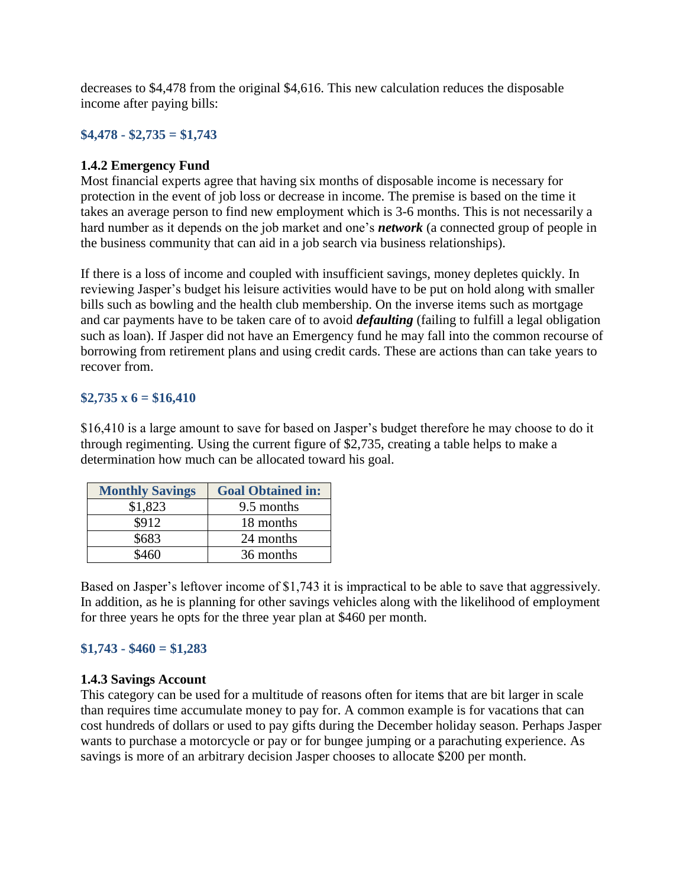decreases to \$4,478 from the original \$4,616. This new calculation reduces the disposable income after paying bills:

### **\$4,478 - \$2,735 = \$1,743**

#### **1.4.2 Emergency Fund**

Most financial experts agree that having six months of disposable income is necessary for protection in the event of job loss or decrease in income. The premise is based on the time it takes an average person to find new employment which is 3-6 months. This is not necessarily a hard number as it depends on the job market and one's *network* (a connected group of people in the business community that can aid in a job search via business relationships).

If there is a loss of income and coupled with insufficient savings, money depletes quickly. In reviewing Jasper's budget his leisure activities would have to be put on hold along with smaller bills such as bowling and the health club membership. On the inverse items such as mortgage and car payments have to be taken care of to avoid *defaulting* (failing to fulfill a legal obligation such as loan). If Jasper did not have an Emergency fund he may fall into the common recourse of borrowing from retirement plans and using credit cards. These are actions than can take years to recover from.

#### **\$2,735 x 6 = \$16,410**

\$16,410 is a large amount to save for based on Jasper's budget therefore he may choose to do it through regimenting. Using the current figure of \$2,735, creating a table helps to make a determination how much can be allocated toward his goal.

| <b>Monthly Savings</b> | <b>Goal Obtained in:</b> |
|------------------------|--------------------------|
| \$1,823                | 9.5 months               |
| \$912                  | 18 months                |
| \$683                  | 24 months                |
| ደ460                   | 36 months                |

Based on Jasper's leftover income of \$1,743 it is impractical to be able to save that aggressively. In addition, as he is planning for other savings vehicles along with the likelihood of employment for three years he opts for the three year plan at \$460 per month.

### **\$1,743 - \$460 = \$1,283**

#### **1.4.3 Savings Account**

This category can be used for a multitude of reasons often for items that are bit larger in scale than requires time accumulate money to pay for. A common example is for vacations that can cost hundreds of dollars or used to pay gifts during the December holiday season. Perhaps Jasper wants to purchase a motorcycle or pay or for bungee jumping or a parachuting experience. As savings is more of an arbitrary decision Jasper chooses to allocate \$200 per month.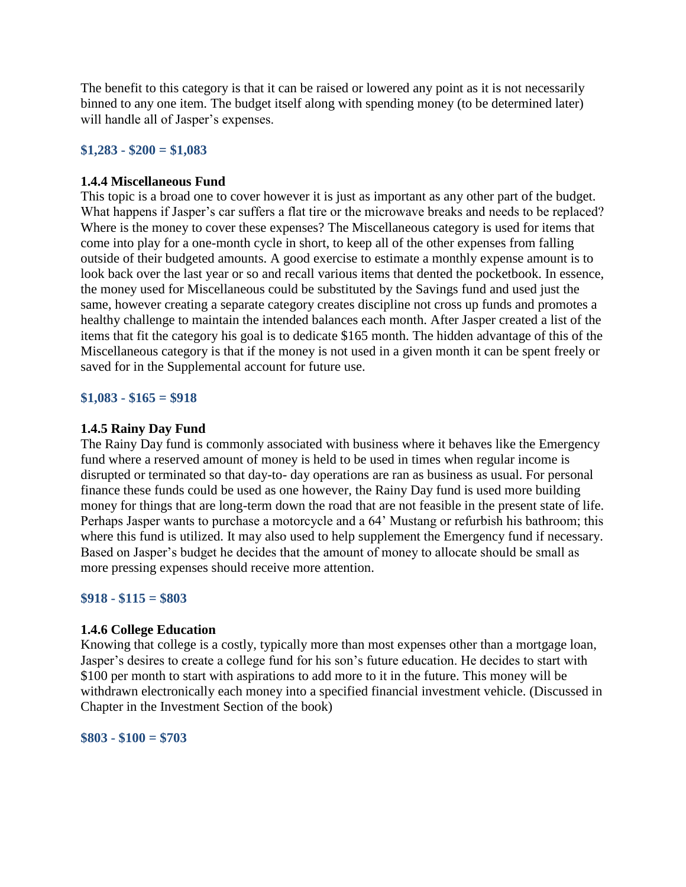The benefit to this category is that it can be raised or lowered any point as it is not necessarily binned to any one item. The budget itself along with spending money (to be determined later) will handle all of Jasper's expenses.

#### **\$1,283 - \$200 = \$1,083**

#### **1.4.4 Miscellaneous Fund**

This topic is a broad one to cover however it is just as important as any other part of the budget. What happens if Jasper's car suffers a flat tire or the microwave breaks and needs to be replaced? Where is the money to cover these expenses? The Miscellaneous category is used for items that come into play for a one-month cycle in short, to keep all of the other expenses from falling outside of their budgeted amounts. A good exercise to estimate a monthly expense amount is to look back over the last year or so and recall various items that dented the pocketbook. In essence, the money used for Miscellaneous could be substituted by the Savings fund and used just the same, however creating a separate category creates discipline not cross up funds and promotes a healthy challenge to maintain the intended balances each month. After Jasper created a list of the items that fit the category his goal is to dedicate \$165 month. The hidden advantage of this of the Miscellaneous category is that if the money is not used in a given month it can be spent freely or saved for in the Supplemental account for future use.

#### **\$1,083 - \$165 = \$918**

#### **1.4.5 Rainy Day Fund**

The Rainy Day fund is commonly associated with business where it behaves like the Emergency fund where a reserved amount of money is held to be used in times when regular income is disrupted or terminated so that day-to- day operations are ran as business as usual. For personal finance these funds could be used as one however, the Rainy Day fund is used more building money for things that are long-term down the road that are not feasible in the present state of life. Perhaps Jasper wants to purchase a motorcycle and a 64' Mustang or refurbish his bathroom; this where this fund is utilized. It may also used to help supplement the Emergency fund if necessary. Based on Jasper's budget he decides that the amount of money to allocate should be small as more pressing expenses should receive more attention.

#### **\$918 - \$115 = \$803**

#### **1.4.6 College Education**

Knowing that college is a costly, typically more than most expenses other than a mortgage loan, Jasper's desires to create a college fund for his son's future education. He decides to start with \$100 per month to start with aspirations to add more to it in the future. This money will be withdrawn electronically each money into a specified financial investment vehicle. (Discussed in Chapter in the Investment Section of the book)

#### **\$803 - \$100 = \$703**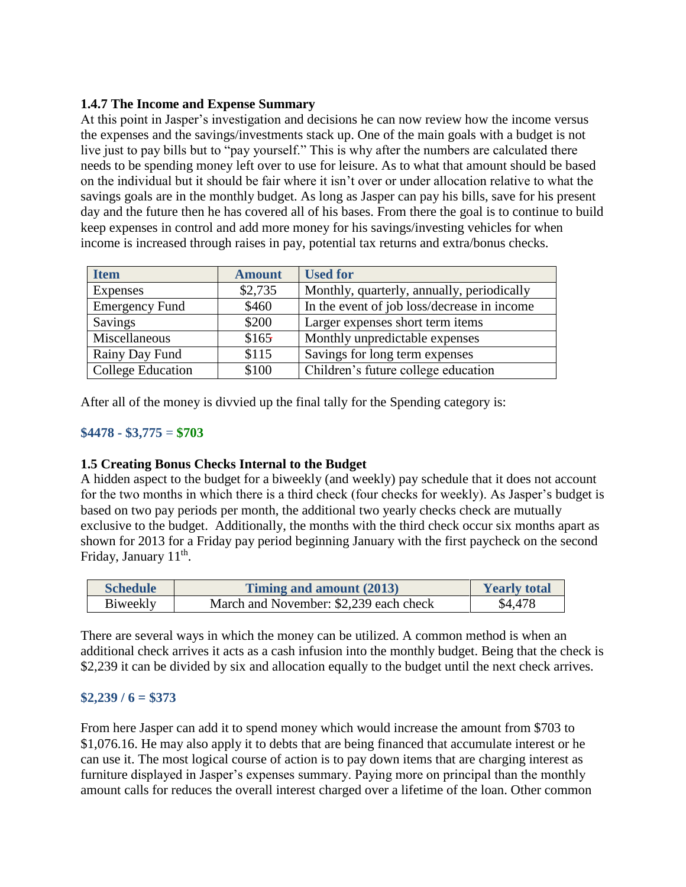## **1.4.7 The Income and Expense Summary**

At this point in Jasper's investigation and decisions he can now review how the income versus the expenses and the savings/investments stack up. One of the main goals with a budget is not live just to pay bills but to "pay yourself." This is why after the numbers are calculated there needs to be spending money left over to use for leisure. As to what that amount should be based on the individual but it should be fair where it isn't over or under allocation relative to what the savings goals are in the monthly budget. As long as Jasper can pay his bills, save for his present day and the future then he has covered all of his bases. From there the goal is to continue to build keep expenses in control and add more money for his savings/investing vehicles for when income is increased through raises in pay, potential tax returns and extra/bonus checks.

| <b>Item</b>           | <b>Amount</b> | <b>Used for</b>                             |
|-----------------------|---------------|---------------------------------------------|
| Expenses              | \$2,735       | Monthly, quarterly, annually, periodically  |
| <b>Emergency Fund</b> | \$460         | In the event of job loss/decrease in income |
| Savings               | \$200         | Larger expenses short term items            |
| Miscellaneous         | \$165         | Monthly unpredictable expenses              |
| Rainy Day Fund        | \$115         | Savings for long term expenses              |
| College Education     | \$100         | Children's future college education         |

After all of the money is divvied up the final tally for the Spending category is:

### **\$4478 - \$3,775** = **\$703**

### **1.5 Creating Bonus Checks Internal to the Budget**

A hidden aspect to the budget for a biweekly (and weekly) pay schedule that it does not account for the two months in which there is a third check (four checks for weekly). As Jasper's budget is based on two pay periods per month, the additional two yearly checks check are mutually exclusive to the budget. Additionally, the months with the third check occur six months apart as shown for 2013 for a Friday pay period beginning January with the first paycheck on the second Friday, January 11<sup>th</sup>.

| <b>Schedule</b> | Timing and amount (2013)               | <b>Yearly total</b> |
|-----------------|----------------------------------------|---------------------|
| Biweekly        | March and November: \$2,239 each check | \$4,478             |

There are several ways in which the money can be utilized. A common method is when an additional check arrives it acts as a cash infusion into the monthly budget. Being that the check is \$2,239 it can be divided by six and allocation equally to the budget until the next check arrives.

### **\$2,239 / 6 = \$373**

From here Jasper can add it to spend money which would increase the amount from \$703 to \$1,076.16. He may also apply it to debts that are being financed that accumulate interest or he can use it. The most logical course of action is to pay down items that are charging interest as furniture displayed in Jasper's expenses summary. Paying more on principal than the monthly amount calls for reduces the overall interest charged over a lifetime of the loan. Other common